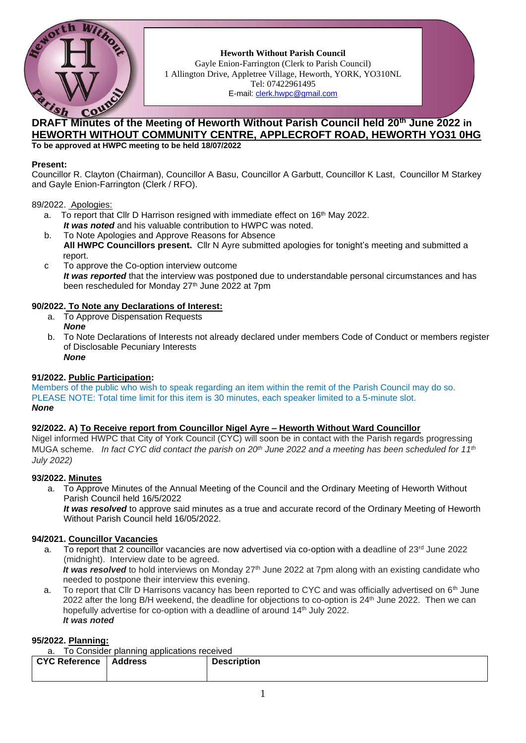

**Heworth Without Parish Council** Gayle Enion-Farrington (Clerk to Parish Council) 1 Allington Drive, Appletree Village, Heworth, YORK, YO310NL Tel: 07422961495 E-mail: [clerk.hwpc@gmail.com](file:///C:/ronal/AppData/ronal/AppData/MINUTES/clerk.hwpc@gmail.com)

# **DRAFT Minutes of the Meeting of Heworth Without Parish Council held 20<sup>th</sup> June 2022 in HEWORTH WITHOUT COMMUNITY CENTRE, APPLECROFT ROAD, HEWORTH YO31 0HG To be approved at HWPC meeting to be held 18/07/2022**

## **Present:**

Councillor R. Clayton (Chairman), Councillor A Basu, Councillor A Garbutt, Councillor K Last, Councillor M Starkey and Gayle Enion-Farrington (Clerk / RFO).

## 89/2022. Apologies:

- a. To report that Cllr D Harrison resigned with immediate effect on  $16<sup>th</sup>$  May 2022. *It was noted* and his valuable contribution to HWPC was noted.
- b. To Note Apologies and Approve Reasons for Absence **All HWPC Councillors present.** Cllr N Ayre submitted apologies for tonight's meeting and submitted a report.
- c To approve the Co-option interview outcome *It was reported* that the interview was postponed due to understandable personal circumstances and has been rescheduled for Monday 27<sup>th</sup> June 2022 at 7pm

## **90/2022. To Note any Declarations of Interest:**

- a. To Approve Dispensation Requests *None*
- b. To Note Declarations of Interests not already declared under members Code of Conduct or members register of Disclosable Pecuniary Interests *None*

# **91/2022. Public Participation:**

Members of the public who wish to speak regarding an item within the remit of the Parish Council may do so. PLEASE NOTE: Total time limit for this item is 30 minutes, each speaker limited to a 5-minute slot. *None*

# **92/2022. A) To Receive report from Councillor Nigel Ayre – Heworth Without Ward Councillor**

Nigel informed HWPC that City of York Council (CYC) will soon be in contact with the Parish regards progressing MUGA scheme. *In fact CYC did contact the parish on 20th June 2022 and a meeting has been scheduled for 11th July 2022)*

# **93/2022. Minutes**

a. To Approve Minutes of the Annual Meeting of the Council and the Ordinary Meeting of Heworth Without Parish Council held 16/5/2022

*It was resolved* to approve said minutes as a true and accurate record of the Ordinary Meeting of Heworth Without Parish Council held 16/05/2022.

# **94/2021. Councillor Vacancies**

- a. To report that 2 councillor vacancies are now advertised via co-option with a deadline of  $23<sup>rd</sup>$  June 2022 (midnight). Interview date to be agreed. It was resolved to hold interviews on Monday 27<sup>th</sup> June 2022 at 7pm along with an existing candidate who
- needed to postpone their interview this evening. a. To report that Cllr D Harrisons vacancy has been reported to CYC and was officially advertised on  $6<sup>th</sup>$  June 2022 after the long B/H weekend, the deadline for objections to co-option is 24th June 2022. Then we can hopefully advertise for co-option with a deadline of around 14<sup>th</sup> July 2022. *It was noted*

## **95/2022. Planning:**

a. To Consider planning applications received

| CYC Reference | <b>Address</b> | <b>Description</b> |
|---------------|----------------|--------------------|
|               |                |                    |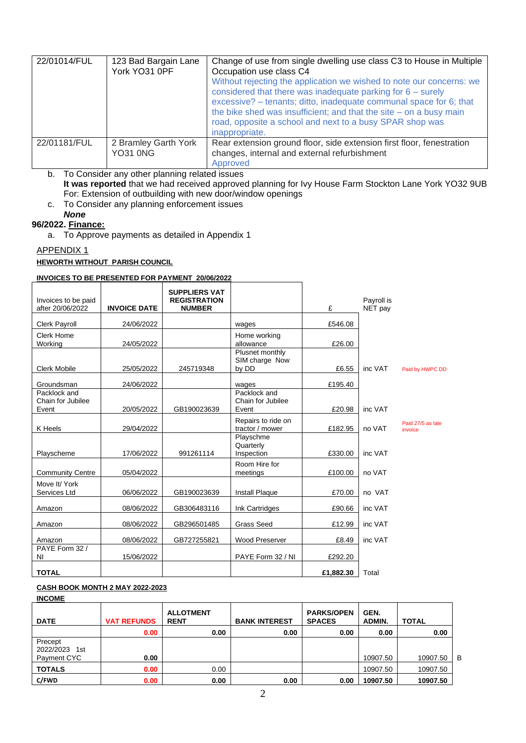| 22/01014/FUL | 123 Bad Bargain Lane<br>York YO31 0PF   | Change of use from single dwelling use class C3 to House in Multiple<br>Occupation use class C4<br>Without rejecting the application we wished to note our concerns: we<br>considered that there was inadequate parking for $6 -$ surely<br>excessive? - tenants; ditto, inadequate communal space for 6; that<br>the bike shed was insufficient; and that the site $-$ on a busy main<br>road, opposite a school and next to a busy SPAR shop was<br>inappropriate. |
|--------------|-----------------------------------------|----------------------------------------------------------------------------------------------------------------------------------------------------------------------------------------------------------------------------------------------------------------------------------------------------------------------------------------------------------------------------------------------------------------------------------------------------------------------|
| 22/01181/FUL | 2 Bramley Garth York<br><b>YO31 0NG</b> | Rear extension ground floor, side extension first floor, fenestration<br>changes, internal and external refurbishment<br>Approved                                                                                                                                                                                                                                                                                                                                    |

b. To Consider any other planning related issues **It was reported** that we had received approved planning for Ivy House Farm Stockton Lane York YO32 9UB For: Extension of outbuilding with new door/window openings

c. To Consider any planning enforcement issues

# *None*

- **96/2022. Finance:**
	- a. To Approve payments as detailed in Appendix 1

# APPENDIX 1

# **HEWORTH WITHOUT PARISH COUNCIL**

# **INVOICES TO BE PRESENTED FOR PAYMENT 20/06/2022**

| Invoices to be paid<br>after 20/06/2022    | <b>INVOICE DATE</b> | <b>SUPPLIERS VAT</b><br><b>REGISTRATION</b><br><b>NUMBER</b> |                                            | £         | Payroll is<br>NET pay |                              |
|--------------------------------------------|---------------------|--------------------------------------------------------------|--------------------------------------------|-----------|-----------------------|------------------------------|
| <b>Clerk Payroll</b>                       | 24/06/2022          |                                                              | wages                                      | £546.08   |                       |                              |
| Clerk Home<br>Working                      | 24/05/2022          |                                                              | Home working<br>allowance                  | £26.00    |                       |                              |
| <b>Clerk Mobile</b>                        | 25/05/2022          | 245719348                                                    | Plusnet monthly<br>SIM charge Now<br>by DD | £6.55     | inc VAT               | Paid by HWPC DD              |
| Groundsman                                 | 24/06/2022          |                                                              | wages                                      | £195.40   |                       |                              |
| Packlock and<br>Chain for Jubilee<br>Event | 20/05/2022          | GB190023639                                                  | Packlock and<br>Chain for Jubilee<br>Event | £20.98    | inc VAT               |                              |
| K Heels                                    | 29/04/2022          |                                                              | Repairs to ride on<br>tractor / mower      | £182.95   | no VAT                | Paid 27/5 as late<br>invoice |
| Playscheme                                 | 17/06/2022          | 991261114                                                    | Playschme<br>Quarterly<br>Inspection       | £330.00   | inc VAT               |                              |
| <b>Community Centre</b>                    | 05/04/2022          |                                                              | Room Hire for<br>meetings                  | £100.00   | no VAT                |                              |
| Move It/ York<br>Services Ltd              | 06/06/2022          | GB190023639                                                  | Install Plaque                             | £70.00    | no VAT                |                              |
| Amazon                                     | 08/06/2022          | GB306483116                                                  | Ink Cartridges                             | £90.66    | inc VAT               |                              |
| Amazon                                     | 08/06/2022          | GB296501485                                                  | <b>Grass Seed</b>                          | £12.99    | inc VAT               |                              |
| Amazon                                     | 08/06/2022          | GB727255821                                                  | Wood Preserver                             | £8.49     | inc VAT               |                              |
| PAYE Form 32 /<br>ΝI                       | 15/06/2022          |                                                              | PAYE Form 32 / NI                          | £292.20   |                       |                              |
| <b>TOTAL</b>                               |                     |                                                              |                                            | £1,882.30 | Total                 |                              |

#### **CASH BOOK MONTH 2 MAY 2022-2023 INCOME**

| <b>DATE</b>      | <b>VAT REFUNDS</b> | <b>ALLOTMENT</b><br><b>RENT</b> | <b>BANK INTEREST</b> | <b>PARKS/OPEN</b><br><b>SPACES</b> | GEN.<br>ADMIN. | <b>TOTAL</b> |   |
|------------------|--------------------|---------------------------------|----------------------|------------------------------------|----------------|--------------|---|
|                  | 0.00               | 0.00                            | 0.00                 | 0.00                               | 0.00           | 0.00         |   |
| Precept          |                    |                                 |                      |                                    |                |              |   |
| 2022/2023<br>1st |                    |                                 |                      |                                    |                |              |   |
| Payment CYC      | 0.00               |                                 |                      |                                    | 10907.50       | 10907.50     | В |
| <b>TOTALS</b>    | 0.00               | 0.00                            |                      |                                    | 10907.50       | 10907.50     |   |
| C/FWD            | 0.00               | 0.00                            | 0.00                 | 0.00                               | 10907.50       | 10907.50     |   |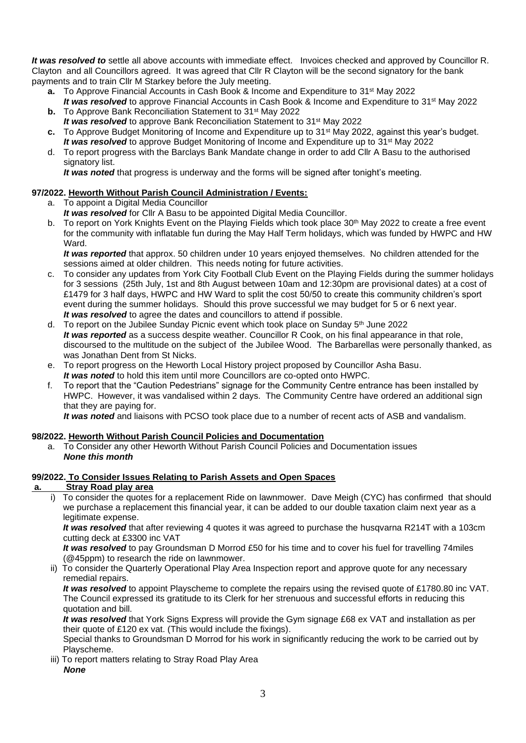*It was resolved to* settle all above accounts with immediate effect. Invoices checked and approved by Councillor R. Clayton and all Councillors agreed. It was agreed that Cllr R Clayton will be the second signatory for the bank payments and to train Cllr M Starkey before the July meeting.

- **a.** To Approve Financial Accounts in Cash Book & Income and Expenditure to 31<sup>st</sup> May 2022 It was resolved to approve Financial Accounts in Cash Book & Income and Expenditure to 31<sup>st</sup> May 2022
- **b.** To Approve Bank Reconciliation Statement to 31<sup>st</sup> May 2022 It was resolved to approve Bank Reconciliation Statement to 31<sup>st</sup> May 2022
- **c.** To Approve Budget Monitoring of Income and Expenditure up to 31st May 2022, against this year's budget. *It was resolved* to approve Budget Monitoring of Income and Expenditure up to 31st May 2022
- d. To report progress with the Barclays Bank Mandate change in order to add Cllr A Basu to the authorised signatory list.

*It was noted* that progress is underway and the forms will be signed after tonight's meeting.

# **97/2022. Heworth Without Parish Council Administration / Events:**

- a. To appoint a Digital Media Councillor
- *It was resolved* for Cllr A Basu to be appointed Digital Media Councillor.
- b. To report on York Knights Event on the Playing Fields which took place 30<sup>th</sup> May 2022 to create a free event for the community with inflatable fun during the May Half Term holidays, which was funded by HWPC and HW Ward.

*It was reported* that approx. 50 children under 10 years enjoyed themselves. No children attended for the sessions aimed at older children. This needs noting for future activities.

- c. To consider any updates from York City Football Club Event on the Playing Fields during the summer holidays for 3 sessions (25th July, 1st and 8th August between 10am and 12:30pm are provisional dates) at a cost of £1479 for 3 half days, HWPC and HW Ward to split the cost 50/50 to create this community children's sport event during the summer holidays. Should this prove successful we may budget for 5 or 6 next year. *It was resolved* to agree the dates and councillors to attend if possible.
- d. To report on the Jubilee Sunday Picnic event which took place on Sunday  $5<sup>th</sup>$  June 2022 *It was reported* as a success despite weather. Councillor R Cook, on his final appearance in that role, discoursed to the multitude on the subject of the Jubilee Wood. The Barbarellas were personally thanked, as was Jonathan Dent from St Nicks.
- e. To report progress on the Heworth Local History project proposed by Councillor Asha Basu. *It was noted* to hold this item until more Councillors are co-opted onto HWPC.
- f. To report that the "Caution Pedestrians" signage for the Community Centre entrance has been installed by HWPC. However, it was vandalised within 2 days. The Community Centre have ordered an additional sign that they are paying for.

*It was noted* and liaisons with PCSO took place due to a number of recent acts of ASB and vandalism.

# **98/2022. Heworth Without Parish Council Policies and Documentation**

a. To Consider any other Heworth Without Parish Council Policies and Documentation issues *None this month*

#### **99/2022. To Consider Issues Relating to Parish Assets and Open Spaces a. Stray Road play area**

 $i)$  To consider the quotes for a replacement Ride on lawnmower. Dave Meigh (CYC) has confirmed that should we purchase a replacement this financial year, it can be added to our double taxation claim next year as a legitimate expense.

*It was resolved* that after reviewing 4 quotes it was agreed to purchase the husqvarna R214T with a 103cm cutting deck at £3300 inc VAT

*It was resolved* to pay Groundsman D Morrod £50 for his time and to cover his fuel for travelling 74miles (@45ppm) to research the ride on lawnmower.

ii) To consider the Quarterly Operational Play Area Inspection report and approve quote for any necessary remedial repairs.

*It was resolved* to appoint Playscheme to complete the repairs using the revised quote of £1780.80 inc VAT. The Council expressed its gratitude to its Clerk for her strenuous and successful efforts in reducing this quotation and bill.

*It* was resolved that York Signs Express will provide the Gym signage £68 ex VAT and installation as per their quote of £120 ex vat. (This would include the fixings).

Special thanks to Groundsman D Morrod for his work in significantly reducing the work to be carried out by Playscheme.

iii) To report matters relating to Stray Road Play Area *None*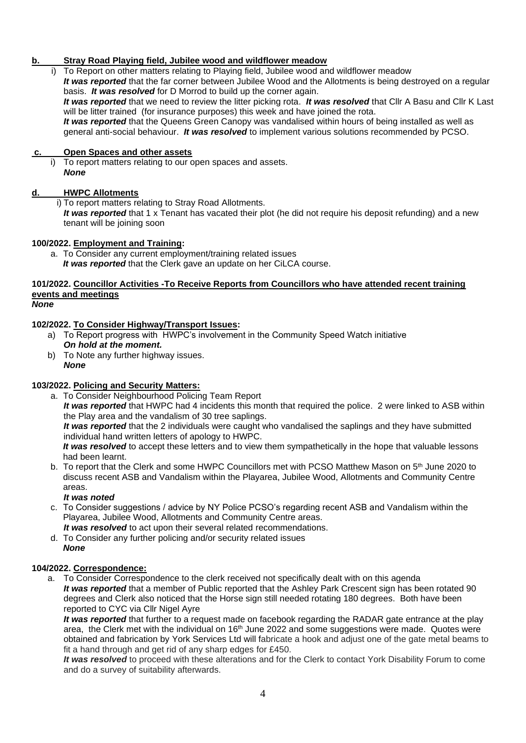# **b. Stray Road Playing field, Jubilee wood and wildflower meadow**

 i) To Report on other matters relating to Playing field, Jubilee wood and wildflower meadow *It was reported* that the far corner between Jubilee Wood and the Allotments is being destroyed on a regular basis. *It was resolved* for D Morrod to build up the corner again. *It was reported* that we need to review the litter picking rota. *It was resolved* that Cllr A Basu and Cllr K Last will be litter trained (for insurance purposes) this week and have joined the rota. *It was reported* that the Queens Green Canopy was vandalised within hours of being installed as well as general anti-social behaviour. *It was resolved* to implement various solutions recommended by PCSO.

# **c. Open Spaces and other assets**

To report matters relating to our open spaces and assets. *None*

## **d. HWPC Allotments**

i) To report matters relating to Stray Road Allotments.

*It was reported* that 1 x Tenant has vacated their plot (he did not require his deposit refunding) and a new tenant will be joining soon

### **100/2022. Employment and Training:**

a. To Consider any current employment/training related issues *It was reported* that the Clerk gave an update on her CiLCA course.

# **101/2022. Councillor Activities -To Receive Reports from Councillors who have attended recent training events and meetings**

### *None*

# **102/2022. To Consider Highway/Transport Issues:**

- a) To Report progress with HWPC's involvement in the Community Speed Watch initiative *On hold at the moment.*
- b) To Note any further highway issues. *None*

### **103/2022. Policing and Security Matters:**

a. To Consider Neighbourhood Policing Team Report *It was reported* that HWPC had 4 incidents this month that required the police. 2 were linked to ASB within the Play area and the vandalism of 30 tree saplings.

*It was reported* that the 2 individuals were caught who vandalised the saplings and they have submitted individual hand written letters of apology to HWPC.

*It was resolved* to accept these letters and to view them sympathetically in the hope that valuable lessons had been learnt.

b. To report that the Clerk and some HWPC Councillors met with PCSO Matthew Mason on 5<sup>th</sup> June 2020 to discuss recent ASB and Vandalism within the Playarea, Jubilee Wood, Allotments and Community Centre areas.

### *It was noted*

- c. To Consider suggestions / advice by NY Police PCSO's regarding recent ASB and Vandalism within the Playarea, Jubilee Wood, Allotments and Community Centre areas.
	- *It was resolved* to act upon their several related recommendations.
- d. To Consider any further policing and/or security related issues *None*

### **104/2022. Correspondence:**

a. To Consider Correspondence to the clerk received not specifically dealt with on this agenda *It was reported* that a member of Public reported that the Ashley Park Crescent sign has been rotated 90 degrees and Clerk also noticed that the Horse sign still needed rotating 180 degrees. Both have been reported to CYC via Cllr Nigel Ayre

It was reported that further to a request made on facebook regarding the RADAR gate entrance at the play area, the Clerk met with the individual on 16<sup>th</sup> June 2022 and some suggestions were made. Quotes were obtained and fabrication by York Services Ltd will fabricate a hook and adjust one of the gate metal beams to fit a hand through and get rid of any sharp edges for £450.

*It was resolved* to proceed with these alterations and for the Clerk to contact York Disability Forum to come and do a survey of suitability afterwards.